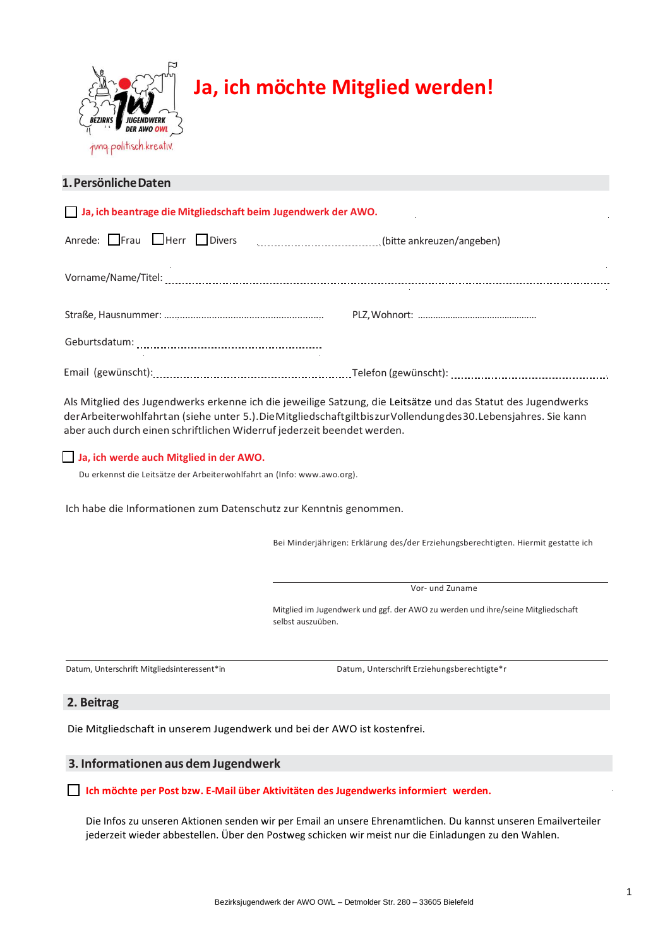

# **Ja, ich möchte Mitglied werden!**

# **1.PersönlicheDaten**

| Ja, ich beantrage die Mitgliedschaft beim Jugendwerk der AWO. |  |
|---------------------------------------------------------------|--|
| Anrede: $\Box$ Frau $\Box$ Herr $\Box$ Divers                 |  |
|                                                               |  |
|                                                               |  |
|                                                               |  |
|                                                               |  |

Als Mitglied des Jugendwerks erkenne ich die jeweilige Satzung, die Leitsätze und das Statut des Jugendwerks derArbeiterwohlfahrtan (siehe unter 5.).DieMitgliedschaftgiltbiszurVollendungdes30.Lebensjahres. Sie kann aber auch durch einen schriftlichen Widerruf jederzeit beendet werden.

# **Ja, ich werde auch Mitglied in der AWO.**

Du erkennst die Leitsätze der Arbeiterwohlfahrt an (Info: www.awo.org).

Ich habe die Informationen zum Datenschutz zur Kenntnis genommen.

Bei Minderjährigen: Erklärung des/der Erziehungsberechtigten. Hiermit gestatte ich

Vor- und Zuname

Mitglied im Jugendwerk und ggf. der AWO zu werden und ihre/seine Mitgliedschaft selbst auszuüben.

Datum, Unterschrift Mitgliedsinteressent\*in Datum, Unterschrift Erziehungsberechtigte\*r

## **2. Beitrag**

Die Mitgliedschaft in unserem Jugendwerk und bei der AWO ist kostenfrei.

## **3. Informationen aus dem Jugendwerk**

## **Ich möchte per Post bzw. E-Mail über Aktivitäten des Jugendwerks informiert werden.**

Die Infos zu unseren Aktionen senden wir per Email an unsere Ehrenamtlichen. Du kannst unseren Emailverteiler jederzeit wieder abbestellen. Über den Postweg schicken wir meist nur die Einladungen zu den Wahlen.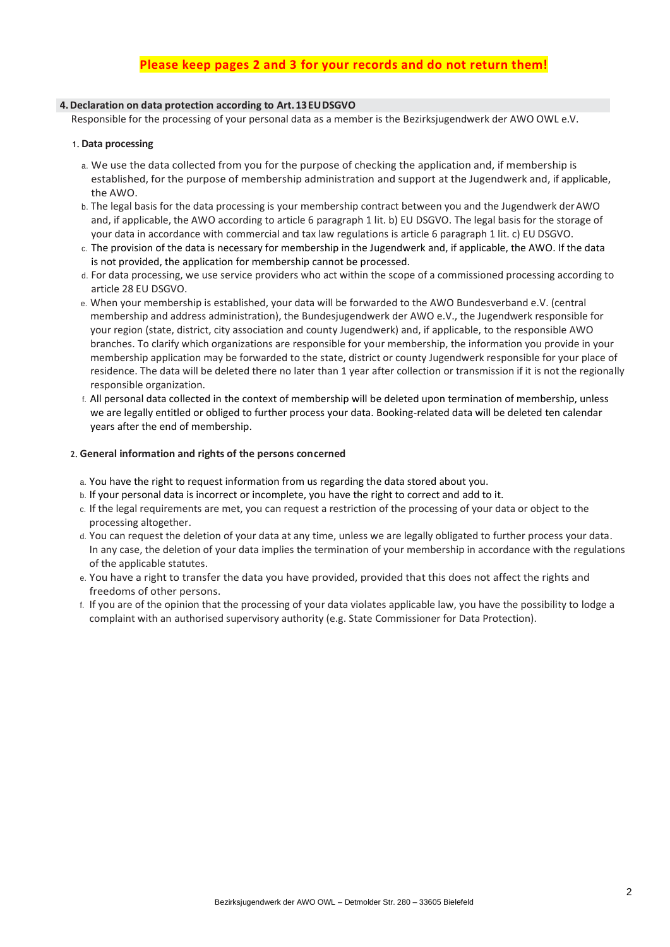# **Please keep pages 2 and 3 for your records and do not return them!**

## **4.Declaration on data protection according to Art.13EUDSGVO**

Responsible for the processing of your personal data as a member is the Bezirksjugendwerk der AWO OWL e.V.

#### **1. Data processing**

- a. We use the data collected from you for the purpose of checking the application and, if membership is established, for the purpose of membership administration and support at the Jugendwerk and, if applicable, the AWO.
- b. The legal basis for the data processing is your membership contract between you and the Jugendwerk derAWO and, if applicable, the AWO according to article 6 paragraph 1 lit. b) EU DSGVO. The legal basis for the storage of your data in accordance with commercial and tax law regulations is article 6 paragraph 1 lit. c) EU DSGVO.
- c. The provision of the data is necessary for membership in the Jugendwerk and, if applicable, the AWO. If the data is not provided, the application for membership cannot be processed.
- d. For data processing, we use service providers who act within the scope of a commissioned processing according to article 28 EU DSGVO.
- e. When your membership is established, your data will be forwarded to the AWO Bundesverband e.V. (central membership and address administration), the Bundesjugendwerk der AWO e.V., the Jugendwerk responsible for your region (state, district, city association and county Jugendwerk) and, if applicable, to the responsible AWO branches. To clarify which organizations are responsible for your membership, the information you provide in your membership application may be forwarded to the state, district or county Jugendwerk responsible for your place of residence. The data will be deleted there no later than 1 year after collection or transmission if it is not the regionally responsible organization.
- f. All personal data collected in the context of membership will be deleted upon termination of membership, unless we are legally entitled or obliged to further process your data. Booking-related data will be deleted ten calendar years after the end of membership.

## **2. General information and rights of the persons concerned**

- a. You have the right to request information from us regarding the data stored about you.
- b. If your personal data is incorrect or incomplete, you have the right to correct and add to it.
- c. If the legal requirements are met, you can request a restriction of the processing of your data or object to the processing altogether.
- d. You can request the deletion of your data at any time, unless we are legally obligated to further process your data. In any case, the deletion of your data implies the termination of your membership in accordance with the regulations of the applicable statutes.
- e. You have a right to transfer the data you have provided, provided that this does not affect the rights and freedoms of other persons.
- f. If you are of the opinion that the processing of your data violates applicable law, you have the possibility to lodge a complaint with an authorised supervisory authority (e.g. State Commissioner for Data Protection).